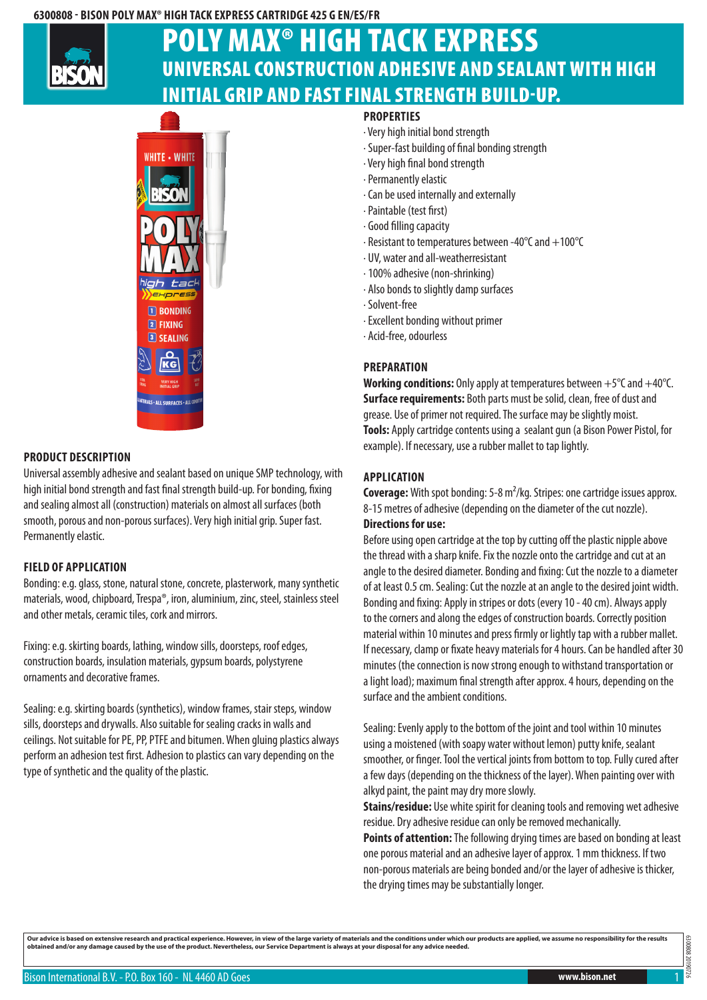## **6300808 - Bison Poly Max® High Tack Express Cartridge 425 g EN/ES/FR**



# Universal construction adhesive and sealant with high initial grip and fast final strength build-up. Poly Max® High Tack Express



# **Product description**

Universal assembly adhesive and sealant based on unique SMP technology, with high initial bond strength and fast final strength build-up. For bonding, fixing and sealing almost all (construction) materials on almost all surfaces (both smooth, porous and non-porous surfaces). Very high initial grip. Super fast. Permanently elastic.

# **Field of application**

Bonding: e.g. glass, stone, natural stone, concrete, plasterwork, many synthetic materials, wood, chipboard, Trespa®, iron, aluminium, zinc, steel, stainless steel and other metals, ceramic tiles, cork and mirrors.

Fixing: e.g. skirting boards, lathing, window sills, doorsteps, roof edges, construction boards, insulation materials, gypsum boards, polystyrene ornaments and decorative frames.

Sealing: e.g. skirting boards (synthetics), window frames, stair steps, window sills, doorsteps and drywalls. Also suitable for sealing cracks in walls and ceilings. Not suitable for PE, PP, PTFE and bitumen. When gluing plastics always perform an adhesion test first. Adhesion to plastics can vary depending on the type of synthetic and the quality of the plastic.

## **Properties**

- · Very high initial bond strength
- · Super-fast building of final bonding strength
- · Very high final bond strength
- · Permanently elastic
- · Can be used internally and externally
- · Paintable (test first)
- · Good filling capacity
- · Resistant to temperatures between -40°C and +100°C
- · UV, water and all-weatherresistant
- · 100% adhesive (non-shrinking)
- · Also bonds to slightly damp surfaces
- · Solvent-free
- · Excellent bonding without primer
- · Acid-free, odourless

### **Preparation**

**Working conditions:** Only apply at temperatures between +5°C and +40°C. **Surface requirements:** Both parts must be solid, clean, free of dust and grease. Use of primer not required. The surface may be slightly moist. **Tools:** Apply cartridge contents using a sealant gun (a Bison Power Pistol, for example). If necessary, use a rubber mallet to tap lightly.

#### **Application**

**Coverage:** With spot bonding: 5-8 m²/kg. Stripes: one cartridge issues approx. 8-15 metres of adhesive (depending on the diameter of the cut nozzle).

# **Directions for use:**

Before using open cartridge at the top by cutting off the plastic nipple above the thread with a sharp knife. Fix the nozzle onto the cartridge and cut at an angle to the desired diameter. Bonding and fixing: Cut the nozzle to a diameter of at least 0.5 cm. Sealing: Cut the nozzle at an angle to the desired joint width. Bonding and fixing: Apply in stripes or dots (every 10 - 40 cm). Always apply to the corners and along the edges of construction boards. Correctly position material within 10 minutes and press firmly or lightly tap with a rubber mallet. If necessary, clamp or fixate heavy materials for 4 hours. Can be handled after 30 minutes (the connection is now strong enough to withstand transportation or a light load); maximum final strength after approx. 4 hours, depending on the surface and the ambient conditions.

Sealing: Evenly apply to the bottom of the joint and tool within 10 minutes using a moistened (with soapy water without lemon) putty knife, sealant smoother, or finger. Tool the vertical joints from bottom to top. Fully cured after a few days (depending on the thickness of the layer). When painting over with alkyd paint, the paint may dry more slowly.

**Stains/residue:** Use white spirit for cleaning tools and removing wet adhesive residue. Dry adhesive residue can only be removed mechanically.

**Points of attention:** The following drying times are based on bonding at least one porous material and an adhesive layer of approx. 1 mm thickness. If two non-porous materials are being bonded and/or the layer of adhesive is thicker, the drying times may be substantially longer.

Our advice is based on extensive research and practical experience. However, in view of the large variety of materials and the conditions under which our products are applied, we assume no responsibility for the results<br>ob

308080 6300808 20190726